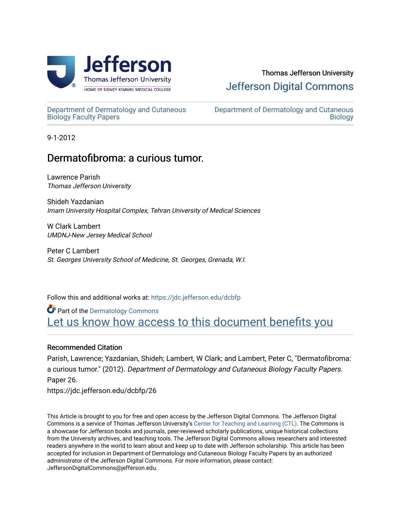

# Thomas Jefferson University [Jefferson Digital Commons](https://jdc.jefferson.edu/)

[Department of Dermatology and Cutaneous](https://jdc.jefferson.edu/dcbfp) [Biology Faculty Papers](https://jdc.jefferson.edu/dcbfp) 

[Department of Dermatology and Cutaneous](https://jdc.jefferson.edu/dcb)  **Biology** 

9-1-2012

## Dermatofibroma: a curious tumor.

Lawrence Parish Thomas Jefferson University

Shideh Yazdanian Imam University Hospital Complex, Tehran University of Medical Sciences

W Clark Lambert UMDNJ-New Jersey Medical School

Peter C Lambert St. Georges University School of Medicine, St. Georges, Grenada, W.I.

Follow this and additional works at: [https://jdc.jefferson.edu/dcbfp](https://jdc.jefferson.edu/dcbfp?utm_source=jdc.jefferson.edu%2Fdcbfp%2F26&utm_medium=PDF&utm_campaign=PDFCoverPages)

**Part of the Dermatology Commons** Let us know how access to this document benefits you

### Recommended Citation

Parish, Lawrence; Yazdanian, Shideh; Lambert, W Clark; and Lambert, Peter C, "Dermatofibroma: a curious tumor." (2012). Department of Dermatology and Cutaneous Biology Faculty Papers. Paper 26.

https://jdc.jefferson.edu/dcbfp/26

This Article is brought to you for free and open access by the Jefferson Digital Commons. The Jefferson Digital Commons is a service of Thomas Jefferson University's [Center for Teaching and Learning \(CTL\)](http://www.jefferson.edu/university/teaching-learning.html/). The Commons is a showcase for Jefferson books and journals, peer-reviewed scholarly publications, unique historical collections from the University archives, and teaching tools. The Jefferson Digital Commons allows researchers and interested readers anywhere in the world to learn about and keep up to date with Jefferson scholarship. This article has been accepted for inclusion in Department of Dermatology and Cutaneous Biology Faculty Papers by an authorized administrator of the Jefferson Digital Commons. For more information, please contact: JeffersonDigitalCommons@jefferson.edu.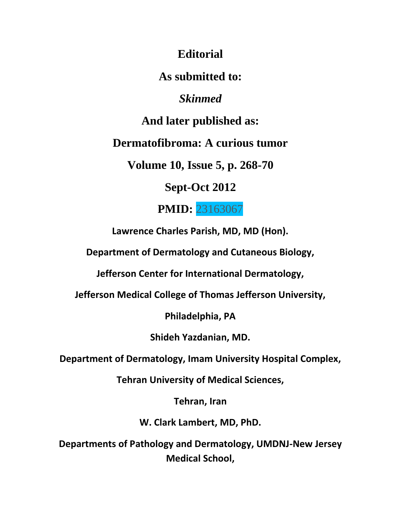**Editorial**

**As submitted to:**

*Skinmed*

**And later published as:**

**Dermatofibroma: A curious tumor**

**Volume 10, Issue 5, p. 268-70**

**Sept-Oct 2012**

**PMID:** 23163067

**Lawrence Charles Parish, MD, MD (Hon).**

**Department of Dermatology and Cutaneous Biology,**

**Jefferson Center for International Dermatology,**

**Jefferson Medical College of Thomas Jefferson University,**

**Philadelphia, PA**

**Shideh Yazdanian, MD.**

**Department of Dermatology, Imam University Hospital Complex,**

**Tehran University of Medical Sciences,**

**Tehran, Iran**

**W. Clark Lambert, MD, PhD.**

**Departments of Pathology and Dermatology, UMDNJ-New Jersey Medical School,**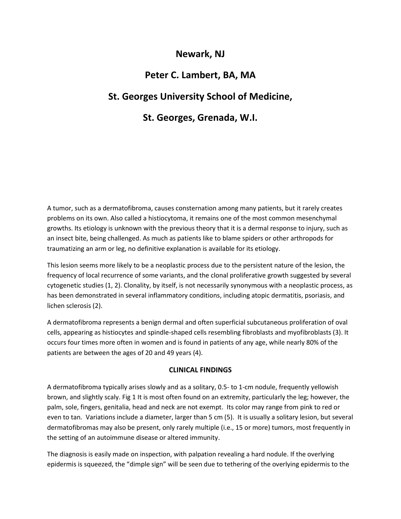### **Newark, NJ**

### **Peter C. Lambert, BA, MA**

### **St. Georges University School of Medicine,**

### **St. Georges, Grenada, W.I.**

A tumor, such as a dermatofibroma, causes consternation among many patients, but it rarely creates problems on its own. Also called a histiocytoma, it remains one of the most common mesenchymal growths. Its etiology is unknown with the previous theory that it is a dermal response to injury, such as an insect bite, being challenged. As much as patients like to blame spiders or other arthropods for traumatizing an arm or leg, no definitive explanation is available for its etiology.

This lesion seems more likely to be a neoplastic process due to the persistent nature of the lesion, the frequency of local recurrence of some variants, and the clonal proliferative growth suggested by several cytogenetic studies (1, 2). Clonality, by itself, is not necessarily synonymous with a neoplastic process, as has been demonstrated in several inflammatory conditions, including atopic dermatitis, psoriasis, and lichen sclerosis (2).

A dermatofibroma represents a benign dermal and often superficial subcutaneous proliferation of oval cells, appearing as histiocytes and spindle-shaped cells resembling fibroblasts and myofibroblasts (3). It occurs four times more often in women and is found in patients of any age, while nearly 80% of the patients are between the ages of 20 and 49 years (4).

### **CLINICAL FINDINGS**

A dermatofibroma typically arises slowly and as a solitary, 0.5- to 1-cm nodule, frequently yellowish brown, and slightly scaly. Fig 1 It is most often found on an extremity, particularly the leg; however, the palm, sole, fingers, genitalia, head and neck are not exempt. Its color may range from pink to red or even to tan. Variations include a diameter, larger than 5 cm (5). It is usually a solitary lesion, but several dermatofibromas may also be present, only rarely multiple (i.e., 15 or more) tumors, most frequently in the setting of an autoimmune disease or altered immunity.

The diagnosis is easily made on inspection, with palpation revealing a hard nodule. If the overlying epidermis is squeezed, the "dimple sign" will be seen due to tethering of the overlying epidermis to the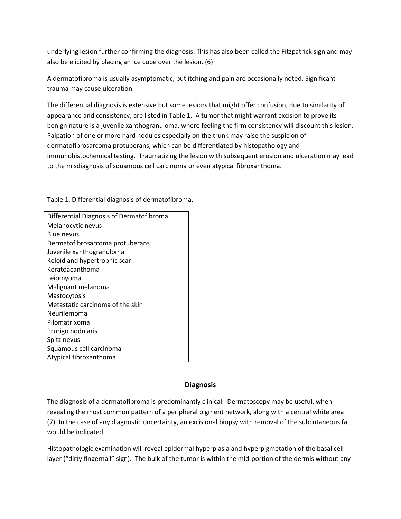underlying lesion further confirming the diagnosis. This has also been called the Fitzpatrick sign and may also be elicited by placing an ice cube over the lesion. (6)

A dermatofibroma is usually asymptomatic, but itching and pain are occasionally noted. Significant trauma may cause ulceration.

The differential diagnosis is extensive but some lesions that might offer confusion, due to similarity of appearance and consistency, are listed in Table 1. A tumor that might warrant excision to prove its benign nature is a juvenile xanthogranuloma, where feeling the firm consistency will discount this lesion. Palpation of one or more hard nodules especially on the trunk may raise the suspicion of dermatofibrosarcoma protuberans, which can be differentiated by histopathology and immunohistochemical testing. Traumatizing the lesion with subsequent erosion and ulceration may lead to the misdiagnosis of squamous cell carcinoma or even atypical fibroxanthoma.

Table 1. Differential diagnosis of dermatofibroma.

| Differential Diagnosis of Dermatofibroma |
|------------------------------------------|
| Melanocytic nevus                        |
| Blue nevus                               |
| Dermatofibrosarcoma protuberans          |
| Juvenile xanthogranuloma                 |
| Keloid and hypertrophic scar             |
| Keratoacanthoma                          |
| Leiomyoma                                |
| Malignant melanoma                       |
| Mastocytosis                             |
| Metastatic carcinoma of the skin         |
| Neurilemoma                              |
| Pilomatrixoma                            |
| Prurigo nodularis                        |
| Spitz nevus                              |
| Squamous cell carcinoma                  |
| Atypical fibroxanthoma                   |

#### **Diagnosis**

The diagnosis of a dermatofibroma is predominantly clinical. Dermatoscopy may be useful, when revealing the most common pattern of a peripheral pigment network, along with a central white area (7). In the case of any diagnostic uncertainty, an excisional biopsy with removal of the subcutaneous fat would be indicated.

Histopathologic examination will reveal epidermal hyperplasia and hyperpigmetation of the basal cell layer ("dirty fingernail" sign). The bulk of the tumor is within the mid-portion of the dermis without any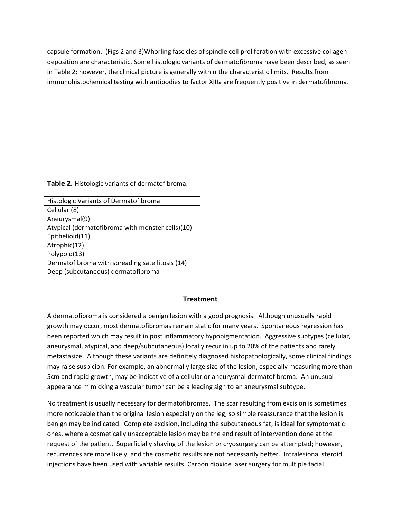capsule formation. (Figs 2 and 3)Whorling fascicles of spindle cell proliferation with excessive collagen deposition are characteristic. Some histologic variants of dermatofibroma have been described, as seen in Table 2; however, the clinical picture is generally within the characteristic limits. Results from immunohistochemical testing with antibodies to factor XIIIa are frequently positive in dermatofibroma.

**Table 2.** Histologic variants of dermatofibroma.

| <b>Histologic Variants of Dermatofibroma</b>     |
|--------------------------------------------------|
| Cellular (8)                                     |
| Aneurysmal(9)                                    |
| Atypical (dermatofibroma with monster cells)(10) |
| Epithelioid(11)                                  |
| Atrophic(12)                                     |
| Polypoid(13)                                     |
| Dermatofibroma with spreading satellitosis (14)  |
| Deep (subcutaneous) dermatofibroma               |

#### **Treatment**

A dermatofibroma is considered a benign lesion with a good prognosis. Although unusually rapid growth may occur, most dermatofibromas remain static for many years. Spontaneous regression has been reported which may result in post inflammatory hypopigmentation. Aggressive subtypes (cellular, aneurysmal, atypical, and deep/subcutaneous) locally recur in up to 20% of the patients and rarely metastasize. Although these variants are definitely diagnosed histopathologically, some clinical findings may raise suspicion. For example, an abnormally large size of the lesion, especially measuring more than 5cm and rapid growth, may be indicative of a cellular or aneurysmal dermatofibroma. An unusual appearance mimicking a vascular tumor can be a leading sign to an aneurysmal subtype.

No treatment is usually necessary for dermatofibromas. The scar resulting from excision is sometimes more noticeable than the original lesion especially on the leg, so simple reassurance that the lesion is benign may be indicated. Complete excision, including the subcutaneous fat, is ideal for symptomatic ones, where a cosmetically unacceptable lesion may be the end result of intervention done at the request of the patient. Superficially shaving of the lesion or cryosurgery can be attempted; however, recurrences are more likely, and the cosmetic results are not necessarily better. Intralesional steroid injections have been used with variable results. Carbon dioxide laser surgery for multiple facial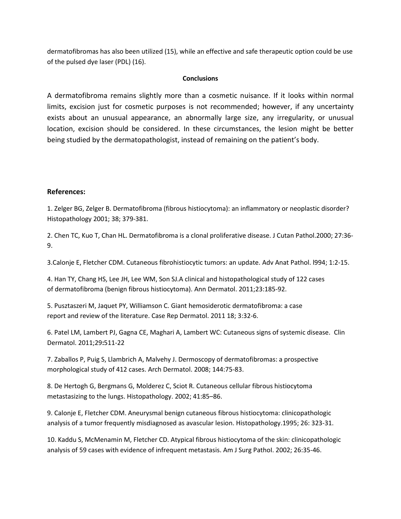dermatofibromas has also been utilized (15), while an effective and safe therapeutic option could be use of the pulsed dye laser (PDL) (16).

#### **Conclusions**

A dermatofibroma remains slightly more than a cosmetic nuisance. If it looks within normal limits, excision just for cosmetic purposes is not recommended; however, if any uncertainty exists about an unusual appearance, an abnormally large size, any irregularity, or unusual location, excision should be considered. In these circumstances, the lesion might be better being studied by the dermatopathologist, instead of remaining on the patient's body.

#### **References:**

1. Zelger BG, Zelger B. Dermatofibroma (fibrous histiocytoma): an inflammatory or neoplastic disorder? Histopathology 2001; 38; 379-381.

2. Chen TC, Kuo T, Chan HL. Dermatofibroma is a clonal proliferative disease. J Cutan Pathol.2000; 27:36- 9.

3.Calonje E, Fletcher CDM. Cutaneous fibrohistiocytic tumors: an update. Adv Anat Pathol. l994; 1:2-15.

4. Han TY, Chang HS, Lee JH, Lee WM, Son SJ.A clinical and histopathological study of 122 cases of dermatofibroma (benign fibrous histiocytoma). Ann Dermatol. 2011;23:185-92.

5. Pusztaszeri M, Jaquet PY, Williamson C. Giant hemosiderotic dermatofibroma: a case report and review of the literature. Case Rep Dermatol. 2011 18; 3:32-6.

6. Patel LM, Lambert PJ, Gagna CE, Maghari A, Lambert WC: Cutaneous signs of systemic disease. Clin Dermatol. 2011;29**:**511-22

7. Zaballos P, Puig S, Llambrich A, Malvehy J. Dermoscopy of dermatofibromas: a prospective morphological study of 412 cases. Arch Dermatol. 2008; 144:75-83.

8. De Hertogh G, Bergmans G, Molderez C, Sciot R. Cutaneous cellular fibrous histiocytoma metastasizing to the lungs. Histopathology. 2002; 41:85–86.

9. Calonje E, Fletcher CDM. Aneurysmal benign cutaneous fibrous histiocytoma: clinicopathologic analysis of a tumor frequently misdiagnosed as avascular lesion. Histopathology.1995; 26: 323-31.

10. Kaddu S, McMenamin M, Fletcher CD. Atypical fibrous histiocytoma of the skin: clinicopathologic analysis of 59 cases with evidence of infrequent metastasis. Am J Surg Pathol. 2002; 26:35-46.